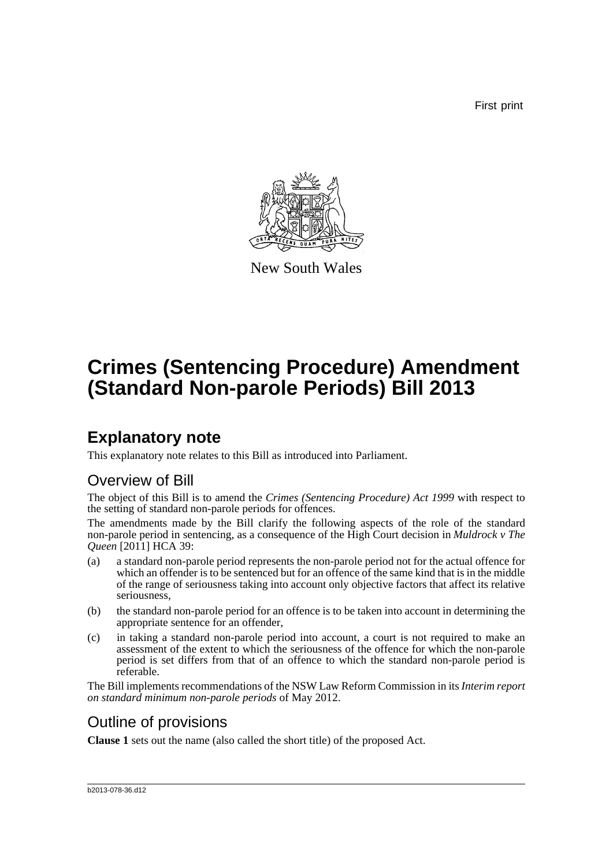First print



New South Wales

# **Crimes (Sentencing Procedure) Amendment (Standard Non-parole Periods) Bill 2013**

## **Explanatory note**

This explanatory note relates to this Bill as introduced into Parliament.

### Overview of Bill

The object of this Bill is to amend the *Crimes (Sentencing Procedure) Act 1999* with respect to the setting of standard non-parole periods for offences.

The amendments made by the Bill clarify the following aspects of the role of the standard non-parole period in sentencing, as a consequence of the High Court decision in *Muldrock v The Queen* [2011] HCA 39:

- (a) a standard non-parole period represents the non-parole period not for the actual offence for which an offender is to be sentenced but for an offence of the same kind that is in the middle of the range of seriousness taking into account only objective factors that affect its relative seriousness,
- (b) the standard non-parole period for an offence is to be taken into account in determining the appropriate sentence for an offender,
- (c) in taking a standard non-parole period into account, a court is not required to make an assessment of the extent to which the seriousness of the offence for which the non-parole period is set differs from that of an offence to which the standard non-parole period is referable.

The Bill implements recommendations of the NSW Law Reform Commission in its *Interim report on standard minimum non-parole periods* of May 2012.

### Outline of provisions

**Clause 1** sets out the name (also called the short title) of the proposed Act.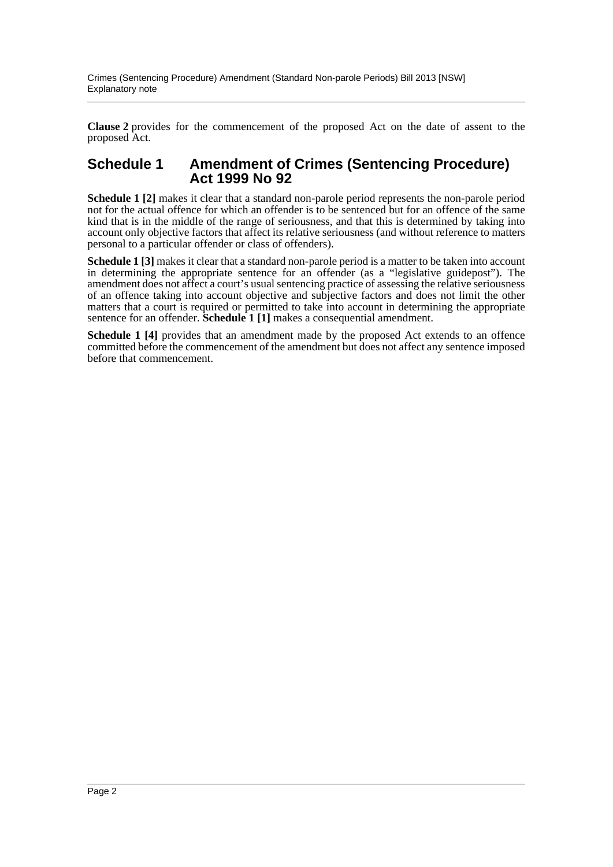**Clause 2** provides for the commencement of the proposed Act on the date of assent to the proposed Act.

#### **Schedule 1 Amendment of Crimes (Sentencing Procedure) Act 1999 No 92**

**Schedule 1 [2]** makes it clear that a standard non-parole period represents the non-parole period not for the actual offence for which an offender is to be sentenced but for an offence of the same kind that is in the middle of the range of seriousness, and that this is determined by taking into account only objective factors that affect its relative seriousness (and without reference to matters personal to a particular offender or class of offenders).

**Schedule 1 [3]** makes it clear that a standard non-parole period is a matter to be taken into account in determining the appropriate sentence for an offender (as a "legislative guidepost"). The amendment does not affect a court's usual sentencing practice of assessing the relative seriousness of an offence taking into account objective and subjective factors and does not limit the other matters that a court is required or permitted to take into account in determining the appropriate sentence for an offender. **Schedule 1 [1]** makes a consequential amendment.

**Schedule 1 [4]** provides that an amendment made by the proposed Act extends to an offence committed before the commencement of the amendment but does not affect any sentence imposed before that commencement.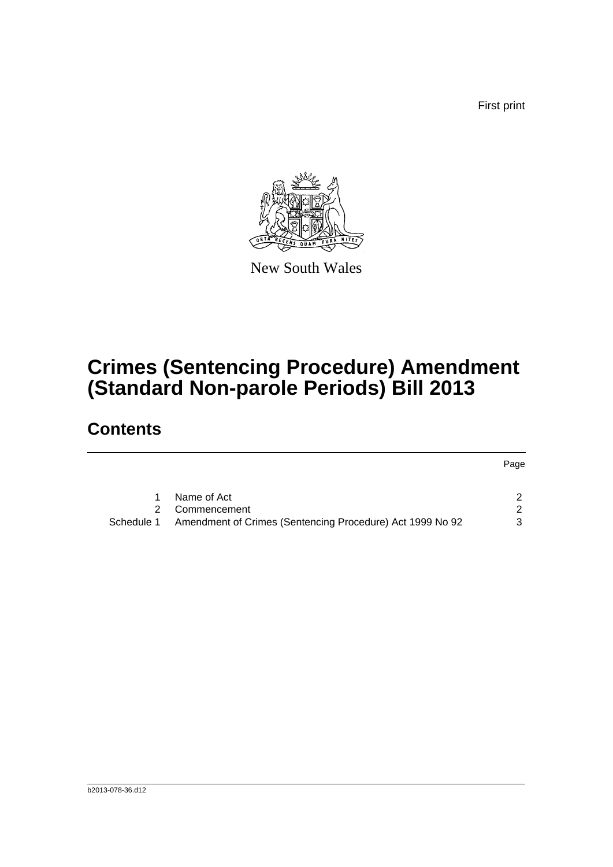First print



New South Wales

# **Crimes (Sentencing Procedure) Amendment (Standard Non-parole Periods) Bill 2013**

## **Contents**

|            |                                                           | Page          |
|------------|-----------------------------------------------------------|---------------|
|            | Name of Act                                               |               |
| 2.         | Commencement                                              | $\mathcal{P}$ |
| Schedule 1 | Amendment of Crimes (Sentencing Procedure) Act 1999 No 92 | 3             |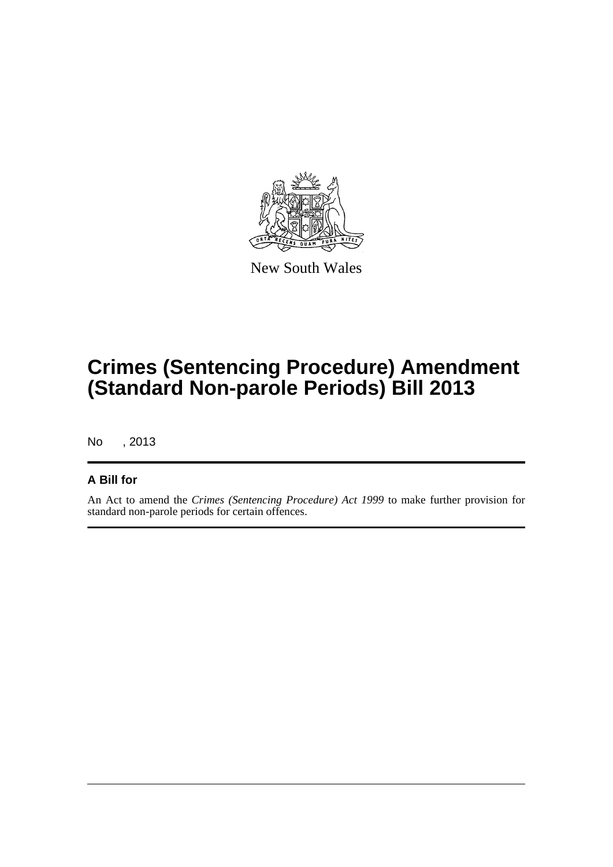

New South Wales

# **Crimes (Sentencing Procedure) Amendment (Standard Non-parole Periods) Bill 2013**

No , 2013

#### **A Bill for**

An Act to amend the *Crimes (Sentencing Procedure) Act 1999* to make further provision for standard non-parole periods for certain offences.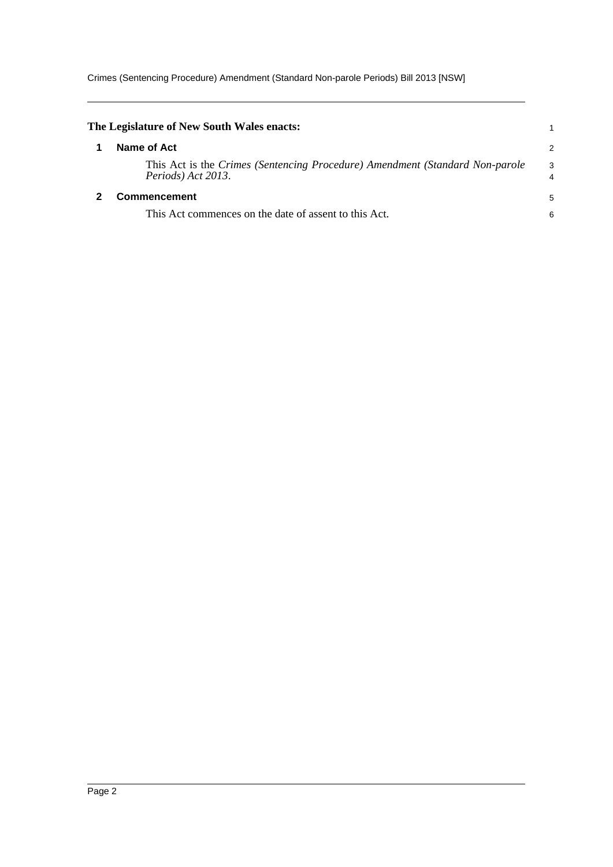Crimes (Sentencing Procedure) Amendment (Standard Non-parole Periods) Bill 2013 [NSW]

<span id="page-4-1"></span><span id="page-4-0"></span>

| The Legislature of New South Wales enacts:                                                         |                     |
|----------------------------------------------------------------------------------------------------|---------------------|
| Name of Act                                                                                        | 2                   |
| This Act is the Crimes (Sentencing Procedure) Amendment (Standard Non-parole<br>Periods) Act 2013. | 3<br>$\overline{4}$ |
| <b>Commencement</b>                                                                                | 5                   |
| This Act commences on the date of assent to this Act.                                              | 6                   |
|                                                                                                    |                     |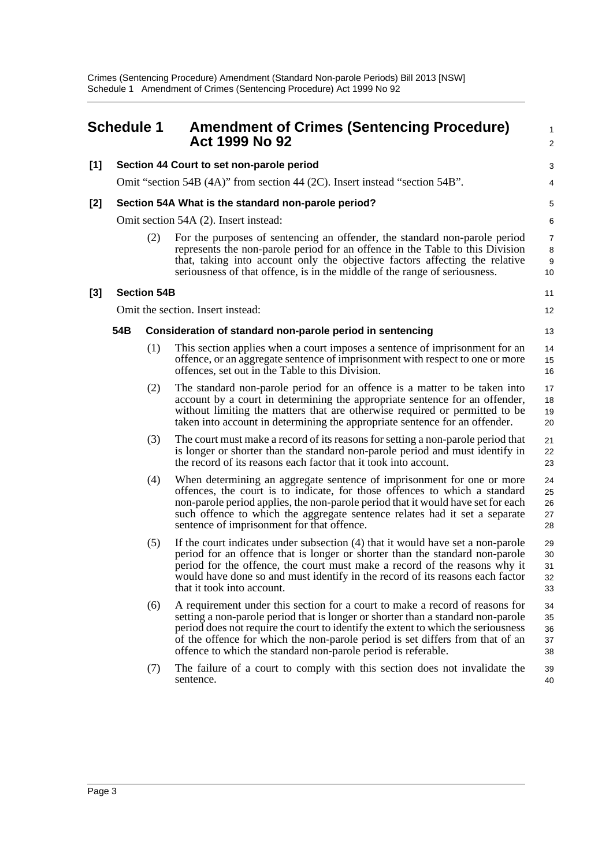<span id="page-5-0"></span>

|       | <b>Schedule 1</b>                                                              |                    | <b>Amendment of Crimes (Sentencing Procedure)</b><br>Act 1999 No 92                                                                                                                                                                                                                                                                                                                                     | 1<br>$\overline{2}$            |
|-------|--------------------------------------------------------------------------------|--------------------|---------------------------------------------------------------------------------------------------------------------------------------------------------------------------------------------------------------------------------------------------------------------------------------------------------------------------------------------------------------------------------------------------------|--------------------------------|
| $[1]$ |                                                                                |                    | Section 44 Court to set non-parole period                                                                                                                                                                                                                                                                                                                                                               | 3                              |
|       | Omit "section 54B $(4A)$ " from section 44 (2C). Insert instead "section 54B". |                    | 4                                                                                                                                                                                                                                                                                                                                                                                                       |                                |
| [2]   |                                                                                |                    | Section 54A What is the standard non-parole period?                                                                                                                                                                                                                                                                                                                                                     | 5                              |
|       |                                                                                |                    | Omit section 54A (2). Insert instead:                                                                                                                                                                                                                                                                                                                                                                   | 6                              |
|       |                                                                                | (2)                | For the purposes of sentencing an offender, the standard non-parole period<br>represents the non-parole period for an offence in the Table to this Division<br>that, taking into account only the objective factors affecting the relative<br>seriousness of that offence, is in the middle of the range of seriousness.                                                                                | $\overline{7}$<br>8<br>9<br>10 |
| $[3]$ |                                                                                | <b>Section 54B</b> |                                                                                                                                                                                                                                                                                                                                                                                                         | 11                             |
|       |                                                                                |                    | Omit the section. Insert instead:                                                                                                                                                                                                                                                                                                                                                                       | 12                             |
|       | 54B                                                                            |                    | Consideration of standard non-parole period in sentencing                                                                                                                                                                                                                                                                                                                                               | 13                             |
|       |                                                                                | (1)                | This section applies when a court imposes a sentence of imprisonment for an<br>offence, or an aggregate sentence of imprisonment with respect to one or more<br>offences, set out in the Table to this Division.                                                                                                                                                                                        | 14<br>15<br>16                 |
|       |                                                                                | (2)                | The standard non-parole period for an offence is a matter to be taken into<br>account by a court in determining the appropriate sentence for an offender,<br>without limiting the matters that are otherwise required or permitted to be<br>taken into account in determining the appropriate sentence for an offender.                                                                                 | 17<br>18<br>19<br>20           |
|       |                                                                                | (3)                | The court must make a record of its reasons for setting a non-parole period that<br>is longer or shorter than the standard non-parole period and must identify in<br>the record of its reasons each factor that it took into account.                                                                                                                                                                   | 21<br>22<br>23                 |
|       |                                                                                | (4)                | When determining an aggregate sentence of imprisonment for one or more<br>offences, the court is to indicate, for those offences to which a standard<br>non-parole period applies, the non-parole period that it would have set for each<br>such offence to which the aggregate sentence relates had it set a separate<br>sentence of imprisonment for that offence.                                    | 24<br>25<br>26<br>27<br>28     |
|       |                                                                                | (5)                | If the court indicates under subsection (4) that it would have set a non-parole<br>period for an offence that is longer or shorter than the standard non-parole<br>period for the offence, the court must make a record of the reasons why it<br>would have done so and must identify in the record of its reasons each factor<br>that it took into account.                                            | 29<br>30<br>31<br>32<br>33     |
|       |                                                                                | (6)                | A requirement under this section for a court to make a record of reasons for<br>setting a non-parole period that is longer or shorter than a standard non-parole<br>period does not require the court to identify the extent to which the seriousness<br>of the offence for which the non-parole period is set differs from that of an<br>offence to which the standard non-parole period is referable. | 34<br>35<br>36<br>37<br>38     |
|       |                                                                                | (7)                | The failure of a court to comply with this section does not invalidate the<br>sentence.                                                                                                                                                                                                                                                                                                                 | 39<br>40                       |